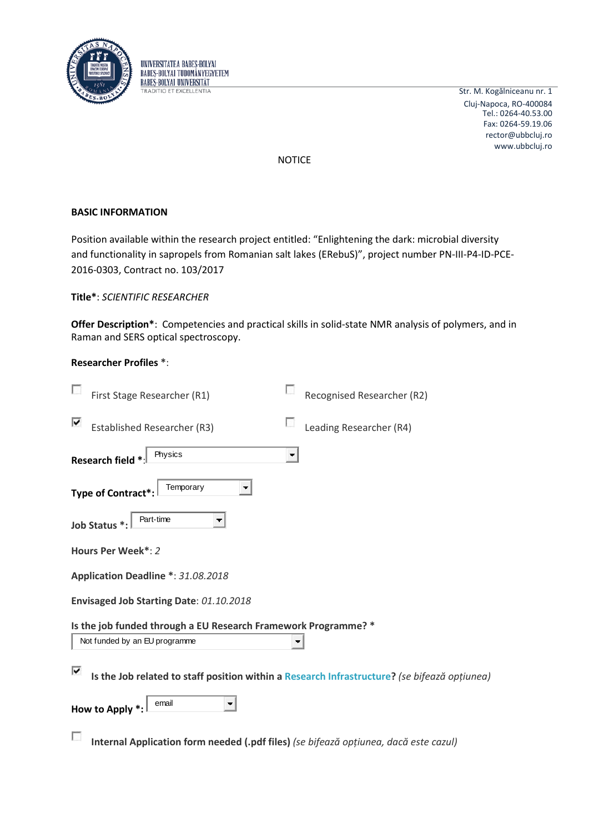

UNIVERSITATEA BABES-BOLYAI **BABES-BOLYAL TUDOMÁNYEGYETEM BABES-BOLYAL UNIVERSITÄT TRADITIO ET EXCELLENTIA** 

Str. M. Kogălniceanu nr. 1 Cluj-Napoca, RO-400084 rector@ubbcluj.ro www.ubbcluj.ro Tel.: 0264-40.53.00 Fax: 0264-59.19.06

NOTICE

# **BASIC INFORMATION**

Position available within the research project entitled: "Enlightening the dark: microbial diversity and functionality in sapropels from Romanian salt lakes (ERebuS)", project number PN-III-P4-ID-PCE-2016-0303, Contract no. 103/2017

**Title\***: *SCIENTIFIC RESEARCHER* 

**Offer Description\***: Competencies and practical skills in solid-state NMR analysis of polymers, and in Raman and SERS optical spectroscopy.

# **Researcher Profiles \***:

| First Stage Researcher (R1)                                    |                | Recognised Researcher (R2)                                                                   |
|----------------------------------------------------------------|----------------|----------------------------------------------------------------------------------------------|
| ⊽<br><b>Established Researcher (R3)</b>                        |                | Leading Researcher (R4)                                                                      |
| Physics<br>Research field *                                    | $\blacksquare$ |                                                                                              |
| Temporary<br>Type of Contract*                                 |                |                                                                                              |
| Part-time<br>Job Status *:                                     | ▼              |                                                                                              |
| Hours Per Week*: 2                                             |                |                                                                                              |
| Application Deadline *: 31.08.2018                             |                |                                                                                              |
| Envisaged Job Starting Date: 01.10.2018                        |                |                                                                                              |
| Is the job funded through a EU Research Framework Programme? * |                |                                                                                              |
| Not funded by an EU programme                                  |                |                                                                                              |
| ⊽                                                              |                | Is the Job related to staff position within a Research Infrastructure? (se bifează opțiunea) |
| email<br>How to Apply *:                                       |                |                                                                                              |
|                                                                |                | Internal Application form needed (.pdf files) (se bifează opțiunea, dacă este cazul)         |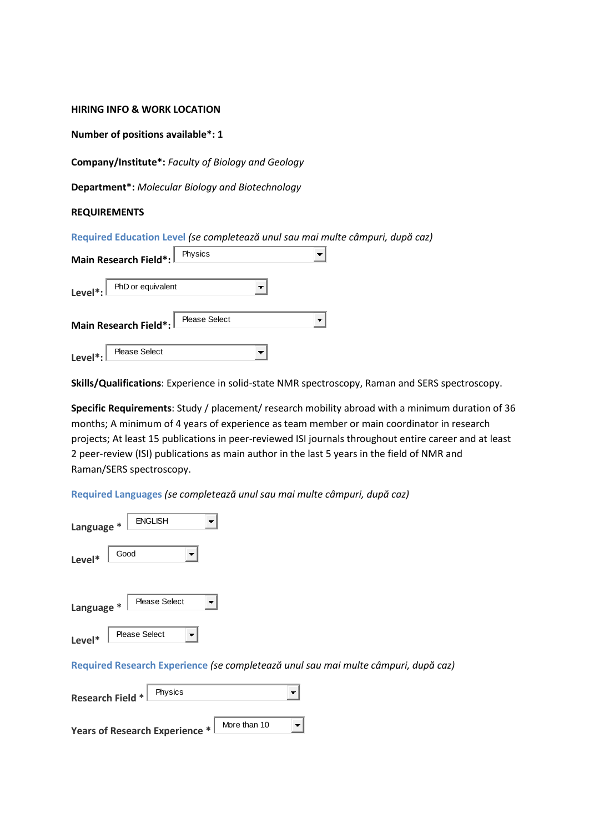#### **HIRING INFO & WORK LOCATION**

**Number of positions available\*: 1**

**Company/Institute\*:** *Faculty of Biology and Geology*

**Department\*:** *Molecular Biology and Biotechnology*

### **REQUIREMENTS**

**Required Education Level** *(se completează unul sau mai multe câmpuri, după caz)*

| Main Research Field*: Physics                 |  |  |  |  |
|-----------------------------------------------|--|--|--|--|
| Level <sup>*</sup> : $\Box$ PhD or equivalent |  |  |  |  |
| Main Research Field*: Please Select           |  |  |  |  |
| <b>Please Select</b><br>Level <sup>*</sup> :  |  |  |  |  |

**Skills/Qualifications**: Experience in solid-state NMR spectroscopy, Raman and SERS spectroscopy.

**Specific Requirements**: Study / placement/ research mobility abroad with a minimum duration of 36 months; A minimum of 4 years of experience as team member or main coordinator in research projects; At least 15 publications in peer-reviewed ISI journals throughout entire career and at least 2 peer-review (ISI) publications as main author in the last 5 years in the field of NMR and Raman/SERS spectroscopy.

**Required Languages** *(se completează unul sau mai multe câmpuri, după caz)*

| <b>ENGLISH</b><br>Language *               |
|--------------------------------------------|
| Good<br>Level*                             |
| <b>Please Select</b><br>Language *         |
| <b>Please Select</b><br>Level*             |
| <b>Required Research Experience (se co</b> |

**Required Research Experience** *(se completează unul sau mai multe câmpuri, după caz)*

| Research Field * \                    | Physics |              |  |
|---------------------------------------|---------|--------------|--|
| <b>Years of Research Experience *</b> |         | More than 10 |  |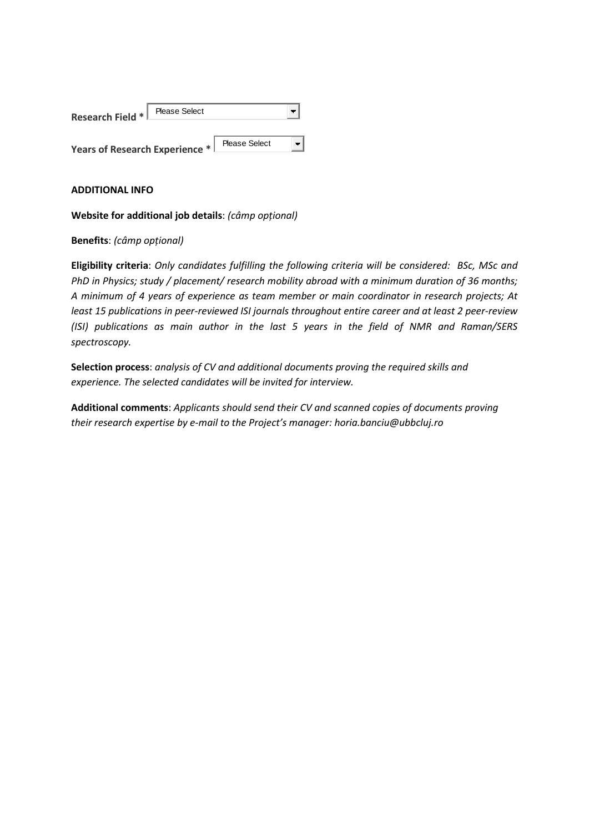| <b>Research Field *1</b>              | <b>Please Select</b> |                      |  |
|---------------------------------------|----------------------|----------------------|--|
| <b>Years of Research Experience *</b> |                      | <b>Please Select</b> |  |

## **ADDITIONAL INFO**

**Website for additional job details**: *(câmp opțional)*

**Benefits**: *(câmp opțional)*

**Eligibility criteria**: *Only candidates fulfilling the following criteria will be considered: BSc, MSc and PhD in Physics; study / placement/ research mobility abroad with a minimum duration of 36 months; A minimum of 4 years of experience as team member or main coordinator in research projects; At least 15 publications in peer-reviewed ISI journals throughout entire career and at least 2 peer-review (ISI) publications as main author in the last 5 years in the field of NMR and Raman/SERS spectroscopy.*

**Selection process**: *analysis of CV and additional documents proving the required skills and experience. The selected candidates will be invited for interview.*

**Additional comments**: *Applicants should send their CV and scanned copies of documents proving their research expertise by e-mail to the Project's manager: horia.banciu@ubbcluj.ro*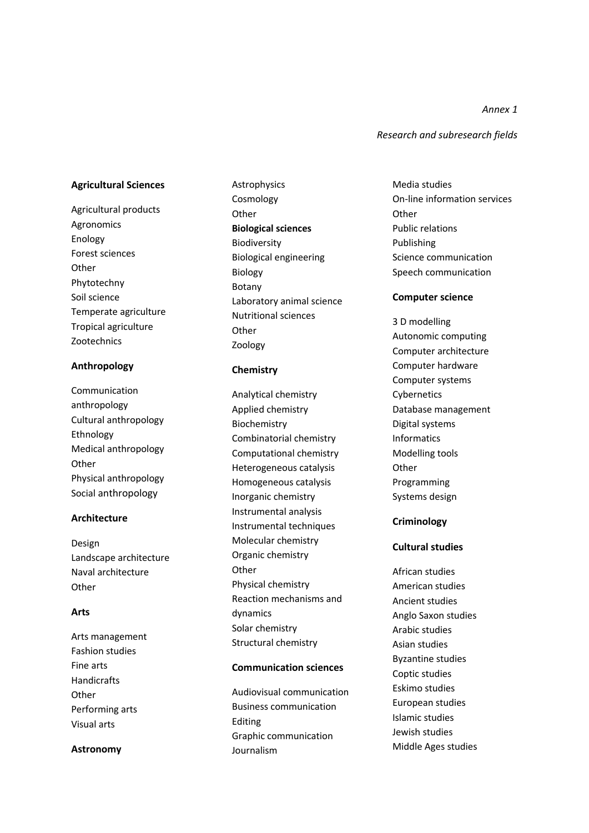*Annex 1*

*Research and subresearch fields*

#### **Agricultural Sciences**

Agricultural products Agronomics Enology Forest sciences **Other** Phytotechny Soil science Temperate agriculture Tropical agriculture Zootechnics

#### **Anthropology**

Communication anthropology Cultural anthropology Ethnology Medical anthropology **Other** Physical anthropology Social anthropology

#### **Architecture**

Design Landscape architecture Naval architecture **Other** 

#### **Arts**

Arts management Fashion studies Fine arts Handicrafts **Other** Performing arts Visual arts

#### **Astronomy**

Astrophysics Cosmology **Other Biological sciences** Biodiversity Biological engineering Biology Botany Laboratory animal science Nutritional sciences **Other** Zoology

#### **Chemistry**

Analytical chemistry Applied chemistry Biochemistry Combinatorial chemistry Computational chemistry Heterogeneous catalysis Homogeneous catalysis Inorganic chemistry Instrumental analysis Instrumental techniques Molecular chemistry Organic chemistry **Other** Physical chemistry Reaction mechanisms and dynamics Solar chemistry Structural chemistry

### **Communication sciences**

Audiovisual communication Business communication Editing Graphic communication Journalism

Media studies On -line information services **Other** Public relations Publishing Science communication Speech communication

### **Computer science**

3 D modelling Autonomic computing Computer architecture Computer hardware Computer systems Cybernetics Database management Digital systems Informatics Modelling tools **Other** Programming Systems design

#### **Criminology**

#### **Cultural studies**

African studies American studies Ancient studies Anglo Saxon studies Arabic studies Asian studies Byzantine studies Coptic studies Eskimo studies European studies Islamic studies Jewish studies Middle Ages studies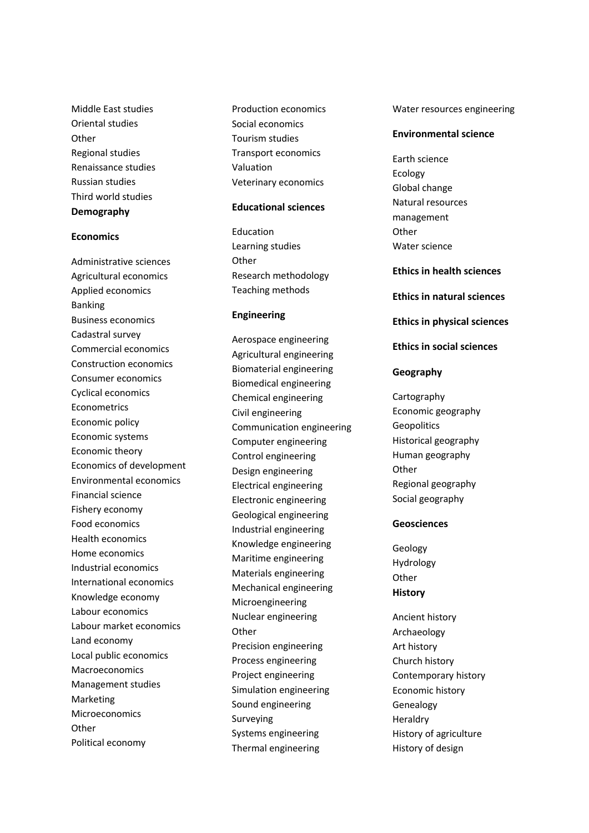Middle East studies Oriental studies **Other** Regional studies Renaissance studies Russian studies Third world studies **Demography**

#### **Economics**

Administrative sciences Agricultural economics Applied economics Banking Business economics Cadastral survey Commercial economics Construction economics Consumer economics Cyclical economics Econometrics Economic policy Economic systems Economic theory Economics of development Environmental economics Financial science Fishery economy Food economics Health economics Home economics Industrial economics International economics Knowledge economy Labour economics Labour market economics Land economy Local public economics Macroeconomics Management studies Marketing **Microeconomics Other** Political economy

Production economics Social economics Tourism studies Transport economics Valuation Veterinary economics

#### **Educational sciences**

Education Learning studies **Other** Research methodology Teaching methods

#### **Engineering**

Aerospace engineering Agricultural engineering Biomaterial engineering Biomedical engineering Chemical engineering Civil engineering Communication engineering Computer engineering Control engineering Design engineering Electrical engineering Electronic engineering Geological engineering Industrial engineering Knowledge engineering Maritime engineering Materials engineering Mechanical engineering Microengineering Nuclear engineering **Other** Precision engineering Process engineering Project engineering Simulation engineering Sound engineering Surveying Systems engineering Thermal engineering

Water resources engineering

#### **Environmental science**

Earth science Ecology Global change Natural resources management **Other** Water science

#### **Ethics in health sciences**

**Ethics in natural sciences**

#### **Ethics in physical sciences**

**Ethics in social sciences**

#### **Geography**

**Cartography** Economic geography **Geopolitics** Historical geography Human geography **Other** Regional geography Social geography

#### **Geosciences**

Geology Hydrology **Other History**

Ancient history Archaeology Art history Church history Contemporary history Economic history Genealogy **Heraldry** History of agriculture History of design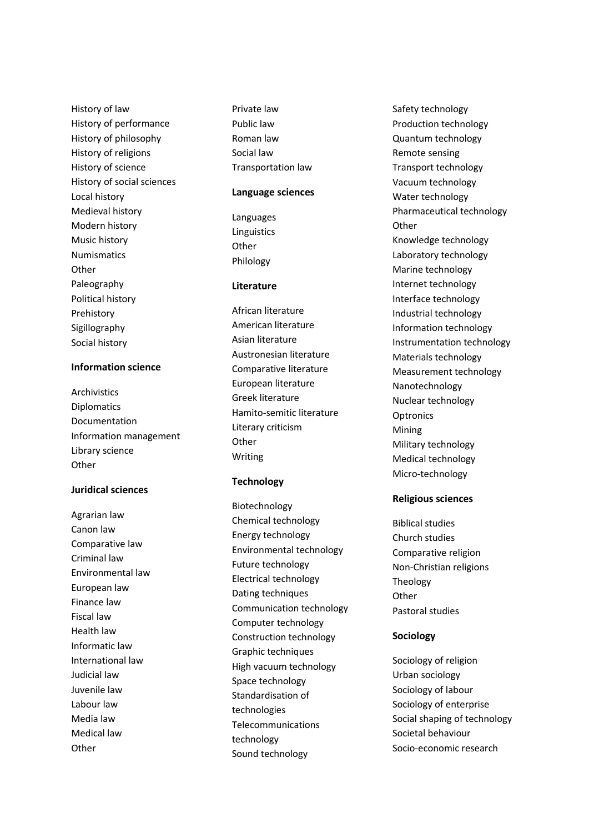History of law History of performance History of philosophy History of religions History of science History of social sciences Local history Medieval history Modern history Music history Numismatics **Other** Paleography Political history Prehistory Sigillography Social history

# **Information science**

Archivistics Diplomatics Documentation Information management Library science **Other** 

#### **Juridical sciences**

Agrarian law Canon law Comparative law Criminal law Environmental law European law Finance law Fiscal law Health law Informatic law International law Judicial law Juvenile law Labour law Media law Medical law **Other** 

Private law Public law Roman law Social law Transportation law

#### **Language sciences**

Languages Linguistics **Other** Philology

### **Literature**

African literature American literature Asian literature Austronesian literature Comparative literature European literature Greek literature Hamito -semitic literature Literary criticism **Other** Writing

### **Technology**

Biotechnology Chemical technology Energy technology Environmental technology Future technology Electrical technology Dating techniques Communication technology Computer technology Construction technology Graphic techniques High vacuum technology Space technology Standardisation of technologies Telecommunications technology Sound technology

Safety technology Production technology Quantum technology Remote sensing Transport technology Vacuum technology Water technology Pharmaceutical technology **Other** Knowledge technology Laboratory technology Marine technology Internet technology Interface technology Industrial technology Information technology Instrumentation technology Materials technology Measurement technology Nanotechnology Nuclear technology **Optronics** Mining Military technology Medical technology Micro -technology

### **Religious sciences**

Biblical studies Church studies Comparative religion Non -Christian religions Theology Other Pastoral studies

### **Sociology**

Sociology of religion Urban sociology Sociology of labour Sociology of enterprise Social shaping of technology Societal behaviour Socio -economic research